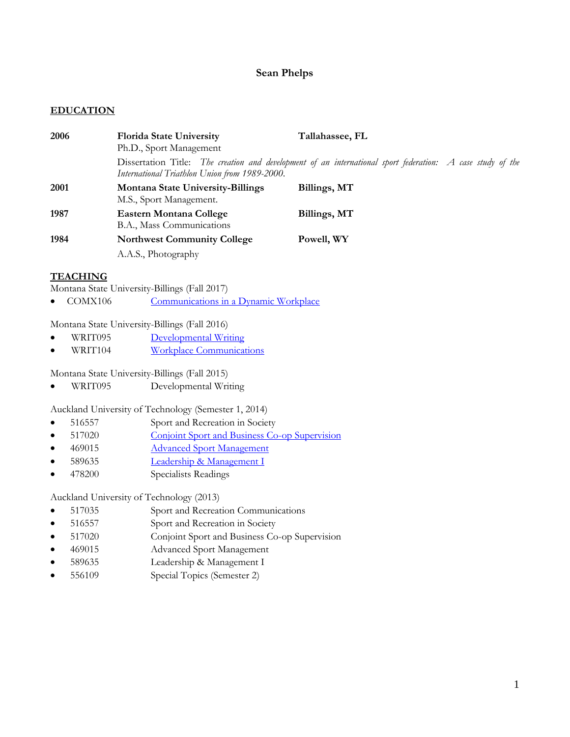# **Sean Phelps**

# **EDUCATION**

| 2006 | <b>Florida State University</b><br>Ph.D., Sport Management          | Tallahassee, FL                                                                                            |
|------|---------------------------------------------------------------------|------------------------------------------------------------------------------------------------------------|
|      | International Triathlon Union from 1989-2000.                       | Dissertation Title: The creation and development of an international sport federation: A case study of the |
| 2001 | <b>Montana State University-Billings</b><br>M.S., Sport Management. | Billings, MT                                                                                               |
| 1987 | <b>Eastern Montana College</b><br>B.A., Mass Communications         | Billings, MT                                                                                               |
| 1984 | <b>Northwest Community College</b>                                  | Powell, WY                                                                                                 |
|      | A.A.S., Photography                                                 |                                                                                                            |

# **TEACHING**

Montana State University-Billings (Fall 2017)

• COMX106 [Communications in a Dynamic Workplace](http://www.msubillings.edu/catalogs/cds/comx-CC.htm)

Montana State University-Billings (Fall 2016)

- WRIT095 [Developmental Writing](https://www.msubillings.edu/cas/engphil/documents/course_catalog_details/WRIT%20course%20descriptions.pdf)
- WRIT104 [Workplace Communications](https://www.msubillings.edu/cas/engphil/documents/course_catalog_details/WRIT%20course%20descriptions.pdf)

Montana State University-Billings (Fall 2015)

WRIT095 Developmental Writing

Auckland University of Technology (Semester 1, 2014)

- 516557 Sport and Recreation in Society
- 517020 [Conjoint Sport and Business Co-op Supervision](http://www.aut.ac.nz/study-at-aut/study-areas/conjoint-programmes/bachelor-of-sport-and-recreation-and-bachelor-of-business-conjoint-degree)
- 469015 [Advanced Sport Management](http://www.aut.ac.nz/study-at-aut/study-areas/business/qualifications/postgraduate/postgraduate-sport-and-recreation-management)
- 589635 [Leadership & Management I](http://www.aut.ac.nz/study-at-aut/study-areas/sport--and--recreation/qualifications/postgraduate/sport-and-exercise)
- 478200 Specialists Readings

Auckland University of Technology (2013)

- 517035 Sport and Recreation Communications
- 516557 Sport and Recreation in Society
- 517020 Conjoint Sport and Business Co-op Supervision
- 469015 Advanced Sport Management
- 589635 Leadership & Management I
- 556109 Special Topics (Semester 2)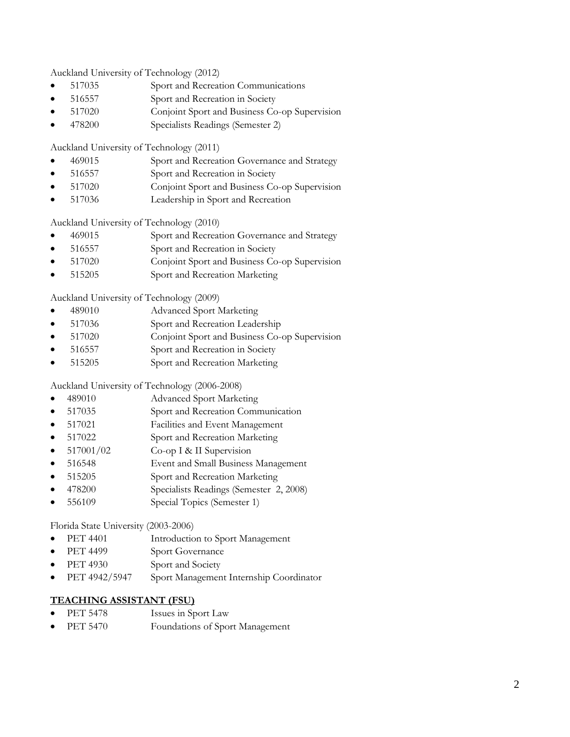Auckland University of Technology (2012)

- 517035 Sport and Recreation Communications
- 516557 Sport and Recreation in Society
- 517020 Conjoint Sport and Business Co-op Supervision
- 478200 Specialists Readings (Semester 2)

Auckland University of Technology (2011)

- 469015 Sport and Recreation Governance and Strategy
- 516557 Sport and Recreation in Society
- 517020 Conjoint Sport and Business Co-op Supervision
- 517036 Leadership in Sport and Recreation

Auckland University of Technology (2010)

- 469015 Sport and Recreation Governance and Strategy
- 516557 Sport and Recreation in Society
- 517020 Conjoint Sport and Business Co-op Supervision
- 515205 Sport and Recreation Marketing

Auckland University of Technology (2009)

- 489010 Advanced Sport Marketing
- 517036 Sport and Recreation Leadership
- 517020 Conjoint Sport and Business Co-op Supervision
- 516557 Sport and Recreation in Society
- 515205 Sport and Recreation Marketing

Auckland University of Technology (2006-2008)

- 489010 Advanced Sport Marketing
- 517035 Sport and Recreation Communication
- 517021 Facilities and Event Management
- 517022 Sport and Recreation Marketing
- 517001/02 Co-op I & II Supervision
- 516548 Event and Small Business Management
- 515205 Sport and Recreation Marketing
- 478200 Specialists Readings (Semester 2, 2008)
- 556109 Special Topics (Semester 1)

Florida State University (2003-2006)

- PET 4401 Introduction to Sport Management
- PET 4499 Sport Governance
- PET 4930 Sport and Society
- PET 4942/5947 Sport Management Internship Coordinator

# **TEACHING ASSISTANT (FSU)**

- PET 5478 Issues in Sport Law
- PET 5470 Foundations of Sport Management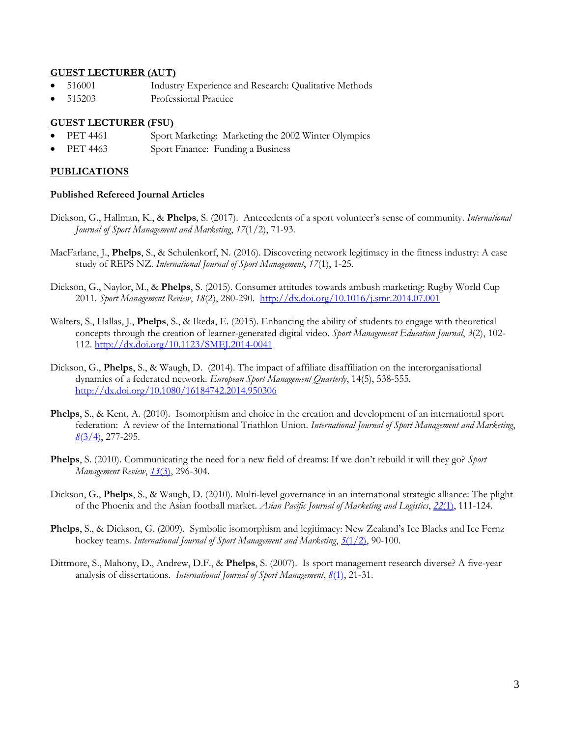## **GUEST LECTURER (AUT)**

- 516001 Industry Experience and Research: Qualitative Methods
- 515203 Professional Practice

## **GUEST LECTURER (FSU)**

- PET 4461 Sport Marketing: Marketing the 2002 Winter Olympics
- PET 4463 Sport Finance: Funding a Business

### **PUBLICATIONS**

### **Published Refereed Journal Articles**

- Dickson, G., Hallman, K., & **Phelps**, S. (2017). Antecedents of a sport volunteer's sense of community. *International Journal of Sport Management and Marketing*, *17*(1/2), 71-93.
- MacFarlane, J., **Phelps**, S., & Schulenkorf, N. (2016). Discovering network legitimacy in the fitness industry: A case study of REPS NZ. *International Journal of Sport Management*, *17*(1), 1-25.
- Dickson, G., Naylor, M., & **Phelps**, S. (2015). Consumer attitudes towards ambush marketing: Rugby World Cup 2011. *Sport Management Review*, *18*(2), 280-290. <http://dx.doi.org/10.1016/j.smr.2014.07.001>
- Walters, S., Hallas, J., **Phelps**, S., & Ikeda, E. (2015). Enhancing the ability of students to engage with theoretical concepts through the creation of learner-generated digital video. *Sport Management Education Journal*, *3*(2), 102- 112.<http://dx.doi.org/10.1123/SMEJ.2014-0041>
- Dickson, G., **Phelps**, S., & Waugh, D. (2014). The impact of affiliate disaffiliation on the interorganisational dynamics of a federated network. *European Sport Management Quarterly*, 14(5), 538-555. <http://dx.doi.org/10.1080/16184742.2014.950306>
- **Phelps**, S., & Kent, A. (2010). Isomorphism and choice in the creation and development of an international sport federation: A review of the International Triathlon Union. *International Journal of Sport Management and Marketing*, *8*[\(3/4\),](http://www.inderscience.com/search/index.php?action=record&rec_id=37509&prevQuery=&ps=10&m=or) 277-295.
- **Phelps**, S. (2010). Communicating the need for a new field of dreams: If we don't rebuild it will they go? *Sport Management Review*, *13*[\(3\),](http://www.sciencedirect.com/science/journal/14413523/13/3) 296-304.
- Dickson, G., **Phelps**, S., & Waugh, D. (2010). Multi-level governance in an international strategic alliance: The plight of the Phoenix and the Asian football market. *Asian Pacific Journal of Marketing and Logistics*, *22*[\(1\),](http://www.emeraldinsight.com/journals.htm?issn=1355-5855&volume=22&issue=1) 111-124.
- **Phelps**, S., & Dickson, G. (2009). Symbolic isomorphism and legitimacy: New Zealand's Ice Blacks and Ice Fernz hockey teams. *International Journal of Sport Management and Marketing*, *5*[\(1/2\),](http://www.inderscience.com/browse/index.php?journalID=102&year=2009&vol=5&issue=1/2) 90-100.
- Dittmore, S., Mahony, D., Andrew, D.F., & **Phelps**, S. (2007). Is sport management research diverse? A five-year analysis of dissertations. *International Journal of Sport Management*, *8*[\(1\),](http://www.americanpresspublishers.com/IJSMContents2007.html) 21-31.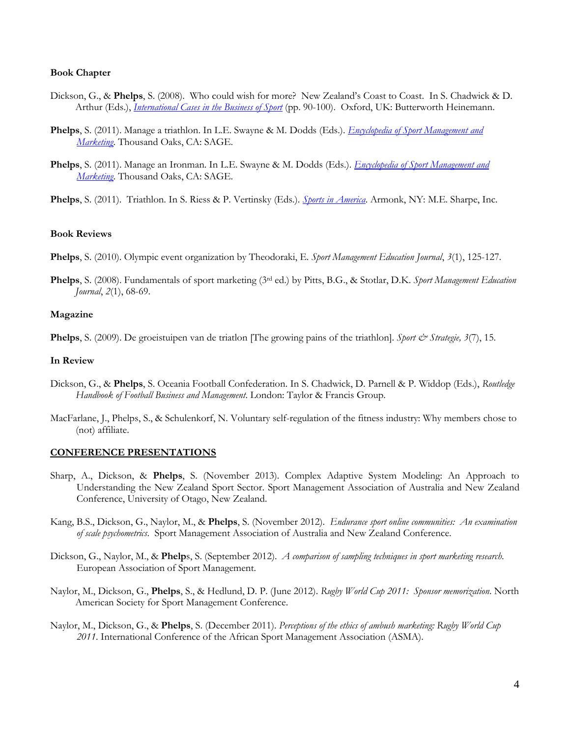### **Book Chapter**

- Dickson, G., & **Phelps**, S. (2008). Who could wish for more? New Zealand's Coast to Coast. In S. Chadwick & D. Arthur (Eds.), *[International Cases in the Business of Sport](http://www.elsevier.com/wps/find/bookdescription.cws_home/713079/description)* (pp. 90-100). Oxford, UK: Butterworth Heinemann.
- **Phelps**, S. (2011). Manage a triathlon. In L.E. Swayne & M. Dodds (Eds.). *[Encyclopedia of Sport Management and](http://www.sagepub.com/books/Book230738)  [Marketing](http://www.sagepub.com/books/Book230738)*. Thousand Oaks, CA: SAGE.
- **Phelps**, S. (2011). Manage an Ironman. In L.E. Swayne & M. Dodds (Eds.). *[Encyclopedia of Sport Management and](http://www.sagepub.com/books/Book230738)  [Marketing](http://www.sagepub.com/books/Book230738)*. Thousand Oaks, CA: SAGE.
- **Phelps**, S. (2011). Triathlon. In S. Riess & P. Vertinsky (Eds.). *[Sports in America](http://www.mesharpe.com/mall/resultsa.asp?Title=Sports+in+America+from+Colonial+Times+to+the+Twenty-First+Century:+An+Encyclopedia)*. Armonk, NY: M.E. Sharpe, Inc.

#### **Book Reviews**

**Phelps**, S. (2010). Olympic event organization by Theodoraki, E. *Sport Management Education Journal*, *3*(1), 125-127.

**Phelps**, S. (2008). Fundamentals of sport marketing (3rd ed.) by Pitts, B.G., & Stotlar, D.K. *Sport Management Education Journal*, *2*(1), 68-69.

#### **Magazine**

**Phelps**, S. (2009). De groeistuipen van de triatlon [The growing pains of the triathlon]. *Sport & Strategie, 3*(7), 15.

#### **In Review**

- Dickson, G., & **Phelps**, S. Oceania Football Confederation. In S. Chadwick, D. Parnell & P. Widdop (Eds.), *Routledge Handbook of Football Business and Management*. London: Taylor & Francis Group.
- MacFarlane, J., Phelps, S., & Schulenkorf, N. Voluntary self-regulation of the fitness industry: Why members chose to (not) affiliate.

### **CONFERENCE PRESENTATIONS**

- Sharp, A., Dickson, & **Phelps**, S. (November 2013). Complex Adaptive System Modeling: An Approach to Understanding the New Zealand Sport Sector. Sport Management Association of Australia and New Zealand Conference, University of Otago, New Zealand.
- Kang, B.S., Dickson, G., Naylor, M., & **Phelps**, S. (November 2012). *Endurance sport online communities: An examination of scale psychometrics*. Sport Management Association of Australia and New Zealand Conference.
- Dickson, G., Naylor, M., & **Phelp**s, S. (September 2012). *A comparison of sampling techniques in sport marketing research*. European Association of Sport Management.
- Naylor, M., Dickson, G., **Phelps**, S., & Hedlund, D. P. (June 2012). *Rugby World Cup 2011: Sponsor memorization*. North American Society for Sport Management Conference.
- Naylor, M., Dickson, G., & **Phelps**, S. (December 2011). *Perceptions of the ethics of ambush marketing: Rugby World Cup 2011*. International Conference of the African Sport Management Association (ASMA).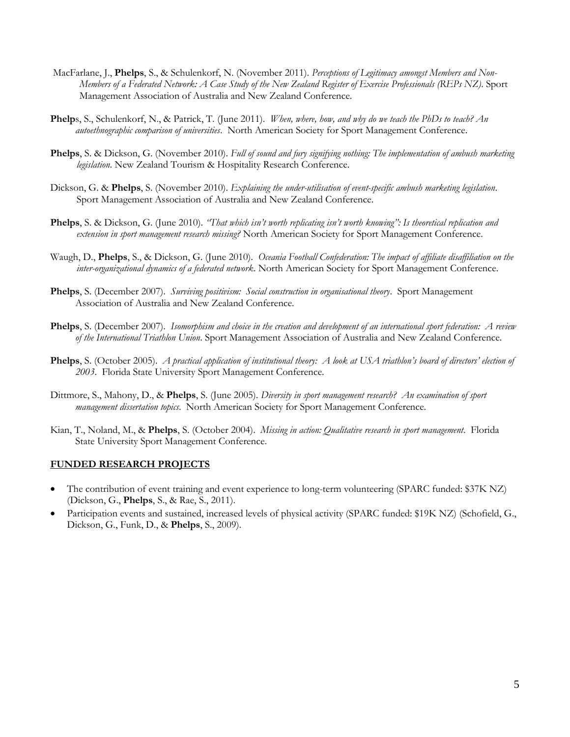- MacFarlane, J., **Phelps**, S., & Schulenkorf, N. (November 2011). *Perceptions of Legitimacy amongst Members and Non-Members of a Federated Network: A Case Study of the New Zealand Register of Exercise Professionals (REPs NZ)*. Sport Management Association of Australia and New Zealand Conference.
- **Phelp**s, S., Schulenkorf, N., & Patrick, T. (June 2011). *When, where, how, and why do we teach the PhDs to teach? An autoethnographic comparison of universities*. North American Society for Sport Management Conference.
- **Phelps**, S. & Dickson, G. (November 2010). *Full of sound and fury signifying nothing: The implementation of ambush marketing legislation*. New Zealand Tourism & Hospitality Research Conference.
- Dickson, G. & **Phelps**, S. (November 2010). *Explaining the under-utilisation of event-specific ambush marketing legislation*. Sport Management Association of Australia and New Zealand Conference.
- **Phelps**, S. & Dickson, G. (June 2010). *"That which isn't worth replicating isn't worth knowing": Is theoretical replication and extension in sport management research missing?* North American Society for Sport Management Conference.
- Waugh, D., **Phelps**, S., & Dickson, G. (June 2010). *Oceania Football Confederation: The impact of affiliate disaffiliation on the inter-organizational dynamics of a federated network*. North American Society for Sport Management Conference.
- **Phelps**, S. (December 2007). *Surviving positivism: Social construction in organisational theory*. Sport Management Association of Australia and New Zealand Conference.
- **Phelps**, S. (December 2007). *Isomorphism and choice in the creation and development of an international sport federation: A review of the International Triathlon Union*. Sport Management Association of Australia and New Zealand Conference.
- **Phelps**, S. (October 2005). *A practical application of institutional theory: A look at USA triathlon's board of directors' election of 2003*. Florida State University Sport Management Conference.
- Dittmore, S., Mahony, D., & **Phelps**, S. (June 2005). *Diversity in sport management research? An examination of sport management dissertation topics*. North American Society for Sport Management Conference.
- Kian, T., Noland, M., & **Phelps**, S. (October 2004). *Missing in action: Qualitative research in sport management*. Florida State University Sport Management Conference.

#### **FUNDED RESEARCH PROJECTS**

- The contribution of event training and event experience to long-term volunteering (SPARC funded: \$37K NZ) (Dickson, G., **Phelps**, S., & Rae, S., 2011).
- Participation events and sustained, increased levels of physical activity (SPARC funded: \$19K NZ) (Schofield, G., Dickson, G., Funk, D., & **Phelps**, S., 2009).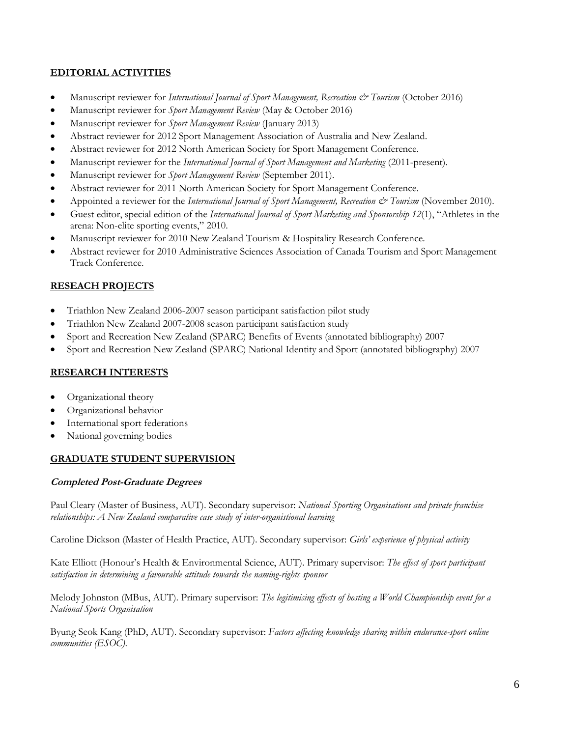# **EDITORIAL ACTIVITIES**

- Manuscript reviewer for *International Journal of Sport Management, Recreation & Tourism* (October 2016)
- Manuscript reviewer for *Sport Management Review* (May & October 2016)
- Manuscript reviewer for *Sport Management Review* (January 2013)
- Abstract reviewer for 2012 Sport Management Association of Australia and New Zealand.
- Abstract reviewer for 2012 North American Society for Sport Management Conference.
- Manuscript reviewer for the *International Journal of Sport Management and Marketing* (2011-present).
- Manuscript reviewer for *Sport Management Review* (September 2011).
- Abstract reviewer for 2011 North American Society for Sport Management Conference.
- Appointed a reviewer for the *International Journal of Sport Management*, Recreation & Tourism (November 2010).
- Guest editor, special edition of the *International Journal of Sport Marketing and Sponsorship 12*(1), "Athletes in the arena: Non-elite sporting events," 2010.
- Manuscript reviewer for 2010 New Zealand Tourism & Hospitality Research Conference.
- Abstract reviewer for 2010 Administrative Sciences Association of Canada Tourism and Sport Management Track Conference.

# **RESEACH PROJECTS**

- Triathlon New Zealand 2006-2007 season participant satisfaction pilot study
- Triathlon New Zealand 2007-2008 season participant satisfaction study
- Sport and Recreation New Zealand (SPARC) Benefits of Events (annotated bibliography) 2007
- Sport and Recreation New Zealand (SPARC) National Identity and Sport (annotated bibliography) 2007

# **RESEARCH INTERESTS**

- Organizational theory
- Organizational behavior
- International sport federations
- National governing bodies

# **GRADUATE STUDENT SUPERVISION**

## **Completed Post-Graduate Degrees**

Paul Cleary (Master of Business, AUT). Secondary supervisor: *National Sporting Organisations and private franchise relationships: A New Zealand comparative case study of inter-organistional learning*

Caroline Dickson (Master of Health Practice, AUT). Secondary supervisor: *Girls' experience of physical activity*

Kate Elliott (Honour's Health & Environmental Science, AUT). Primary supervisor: *The effect of sport participant satisfaction in determining a favourable attitude towards the naming-rights sponsor*

Melody Johnston (MBus, AUT). Primary supervisor: *The legitimising effects of hosting a World Championship event for a National Sports Organisation*

Byung Seok Kang (PhD, AUT). Secondary supervisor: *Factors affecting knowledge sharing within endurance-sport online communities (ESOC)*.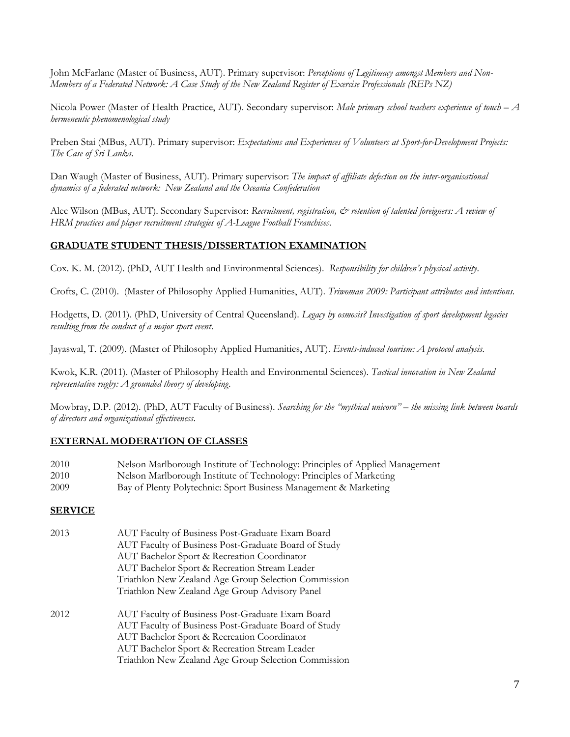John McFarlane (Master of Business, AUT). Primary supervisor: *Perceptions of Legitimacy amongst Members and Non-Members of a Federated Network: A Case Study of the New Zealand Register of Exercise Professionals (REPs NZ)*

Nicola Power (Master of Health Practice, AUT). Secondary supervisor: *Male primary school teachers experience of touch – A hermeneutic phenomenological study*

Preben Stai (MBus, AUT). Primary supervisor: *Expectations and Experiences of Volunteers at Sport-for-Development Projects: The Case of Sri Lanka*.

Dan Waugh (Master of Business, AUT). Primary supervisor: *The impact of affiliate defection on the inter-organisational dynamics of a federated network: New Zealand and the Oceania Confederation*

Alec Wilson (MBus, AUT). Secondary Supervisor: *Recruitment, registration, & retention of talented foreigners: A review of HRM practices and player recruitment strategies of A-League Football Franchises*.

# **GRADUATE STUDENT THESIS/DISSERTATION EXAMINATION**

Cox. K. M. (2012). (PhD, AUT Health and Environmental Sciences). *Responsibility for children's physical activity*.

Crofts, C. (2010). (Master of Philosophy Applied Humanities, AUT). *Triwoman 2009: Participant attributes and intentions.*

Hodgetts, D. (2011). (PhD, University of Central Queensland). *Legacy by osmosis? Investigation of sport development legacies resulting from the conduct of a major sport event*.

Jayaswal, T. (2009). (Master of Philosophy Applied Humanities, AUT). *Events-induced tourism: A protocol analysis.*

Kwok, K.R. (2011). (Master of Philosophy Health and Environmental Sciences). *Tactical innovation in New Zealand representative rugby: A grounded theory of developing*.

Mowbray, D.P. (2012). (PhD, AUT Faculty of Business). *Searching for the "mythical unicorn" – the missing link between boards of directors and organizational effectiveness*.

# **EXTERNAL MODERATION OF CLASSES**

| 2010 | Nelson Marlborough Institute of Technology: Principles of Applied Management |  |  |  |
|------|------------------------------------------------------------------------------|--|--|--|
|------|------------------------------------------------------------------------------|--|--|--|

- 2010 Nelson Marlborough Institute of Technology: Principles of Marketing
- 2009 Bay of Plenty Polytechnic: Sport Business Management & Marketing

# **SERVICE**

| 2013 | AUT Faculty of Business Post-Graduate Exam Board<br>AUT Faculty of Business Post-Graduate Board of Study<br>AUT Bachelor Sport & Recreation Coordinator<br>AUT Bachelor Sport & Recreation Stream Leader<br>Triathlon New Zealand Age Group Selection Commission<br>Triathlon New Zealand Age Group Advisory Panel |
|------|--------------------------------------------------------------------------------------------------------------------------------------------------------------------------------------------------------------------------------------------------------------------------------------------------------------------|
| 2012 | AUT Faculty of Business Post-Graduate Exam Board<br>AUT Faculty of Business Post-Graduate Board of Study<br>AUT Bachelor Sport & Recreation Coordinator<br>AUT Bachelor Sport & Recreation Stream Leader<br>Triathlon New Zealand Age Group Selection Commission                                                   |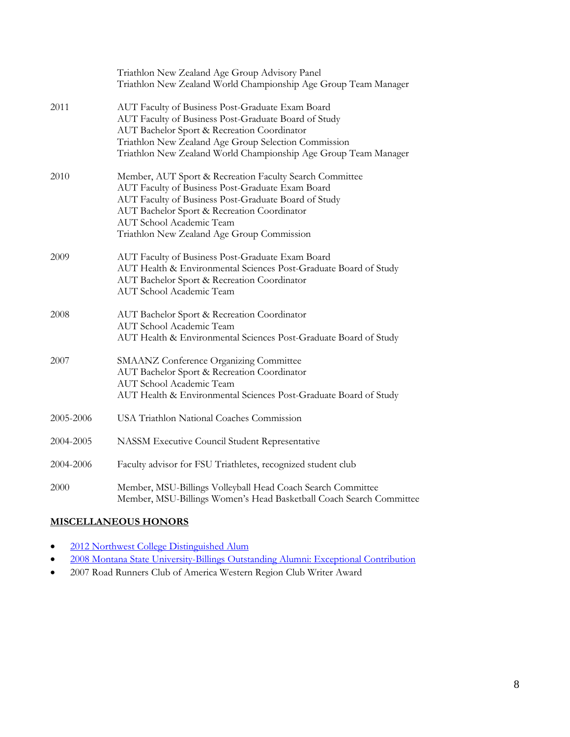|           | Triathlon New Zealand Age Group Advisory Panel<br>Triathlon New Zealand World Championship Age Group Team Manager                                                                                                                                                                            |
|-----------|----------------------------------------------------------------------------------------------------------------------------------------------------------------------------------------------------------------------------------------------------------------------------------------------|
| 2011      | AUT Faculty of Business Post-Graduate Exam Board<br>AUT Faculty of Business Post-Graduate Board of Study<br>AUT Bachelor Sport & Recreation Coordinator<br>Triathlon New Zealand Age Group Selection Commission<br>Triathlon New Zealand World Championship Age Group Team Manager           |
| 2010      | Member, AUT Sport & Recreation Faculty Search Committee<br>AUT Faculty of Business Post-Graduate Exam Board<br>AUT Faculty of Business Post-Graduate Board of Study<br>AUT Bachelor Sport & Recreation Coordinator<br>AUT School Academic Team<br>Triathlon New Zealand Age Group Commission |
| 2009      | AUT Faculty of Business Post-Graduate Exam Board<br>AUT Health & Environmental Sciences Post-Graduate Board of Study<br>AUT Bachelor Sport & Recreation Coordinator<br><b>AUT</b> School Academic Team                                                                                       |
| 2008      | AUT Bachelor Sport & Recreation Coordinator<br><b>AUT School Academic Team</b><br>AUT Health & Environmental Sciences Post-Graduate Board of Study                                                                                                                                           |
| 2007      | <b>SMAANZ Conference Organizing Committee</b><br>AUT Bachelor Sport & Recreation Coordinator<br><b>AUT</b> School Academic Team<br>AUT Health & Environmental Sciences Post-Graduate Board of Study                                                                                          |
| 2005-2006 | USA Triathlon National Coaches Commission                                                                                                                                                                                                                                                    |
| 2004-2005 | NASSM Executive Council Student Representative                                                                                                                                                                                                                                               |
| 2004-2006 | Faculty advisor for FSU Triathletes, recognized student club                                                                                                                                                                                                                                 |
| 2000      | Member, MSU-Billings Volleyball Head Coach Search Committee<br>Member, MSU-Billings Women's Head Basketball Coach Search Committee                                                                                                                                                           |

# **MISCELLANEOUS HONORS**

- [2012 Northwest College Distinguished Alum](http://www.nwc.edu/news/ironman-triathlete-returns-to-nwc-as-graduation-speaker)
- <sup>2008</sup> Montana State University-Billings Outstanding Alumni: Exceptional Contribution
- 2007 Road Runners Club of America Western Region Club Writer Award